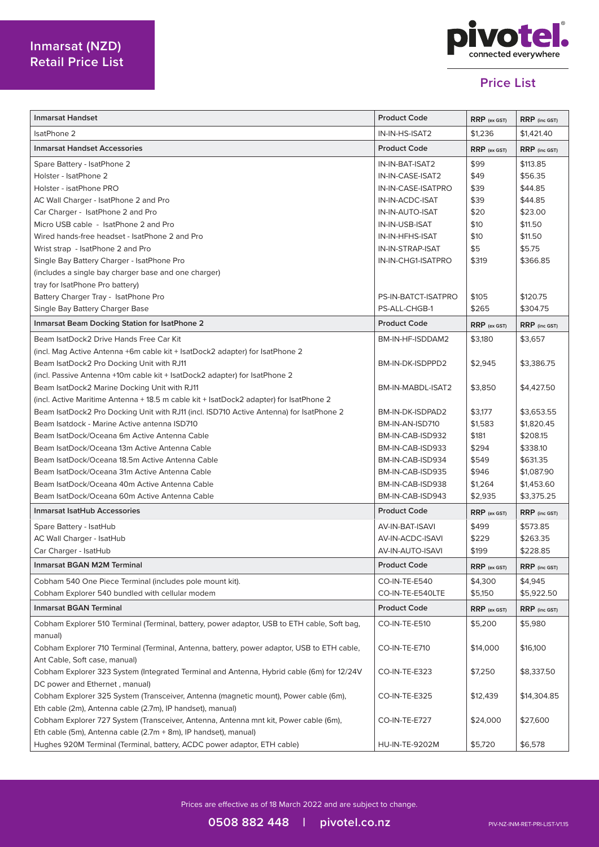

## **Price List**

| Inmarsat Handset                                                                            | <b>Product Code</b> | $RRP$ (ex GST) | RRP (inc GST) |
|---------------------------------------------------------------------------------------------|---------------------|----------------|---------------|
| <b>IsatPhone 2</b>                                                                          | IN-IN-HS-ISAT2      | \$1,236        | \$1,421.40    |
| <b>Inmarsat Handset Accessories</b>                                                         | <b>Product Code</b> | $RRP$ (ex GST) | RRP (inc GST) |
| Spare Battery - IsatPhone 2                                                                 | IN-IN-BAT-ISAT2     | \$99           | \$113.85      |
| Holster - IsatPhone 2                                                                       | IN-IN-CASE-ISAT2    | \$49           | \$56.35       |
| Holster - isatPhone PRO                                                                     | IN-IN-CASE-ISATPRO  | \$39           | \$44.85       |
| AC Wall Charger - IsatPhone 2 and Pro                                                       | IN-IN-ACDC-ISAT     | \$39           | \$44.85       |
| Car Charger - IsatPhone 2 and Pro                                                           | IN-IN-AUTO-ISAT     | \$20           | \$23.00       |
| Micro USB cable - IsatPhone 2 and Pro                                                       | IN-IN-USB-ISAT      | \$10           | \$11.50       |
| Wired hands-free headset - IsatPhone 2 and Pro                                              | IN-IN-HFHS-ISAT     | \$10           | \$11.50       |
| Wrist strap - IsatPhone 2 and Pro                                                           | IN-IN-STRAP-ISAT    | \$5            | \$5.75        |
| Single Bay Battery Charger - IsatPhone Pro                                                  | IN-IN-CHG1-ISATPRO  | \$319          | \$366.85      |
| (includes a single bay charger base and one charger)                                        |                     |                |               |
| tray for IsatPhone Pro battery)                                                             |                     |                |               |
| Battery Charger Tray - IsatPhone Pro                                                        | PS-IN-BATCT-ISATPRO | \$105          | \$120.75      |
| Single Bay Battery Charger Base                                                             | PS-ALL-CHGB-1       | \$265          | \$304.75      |
| <b>Inmarsat Beam Docking Station for IsatPhone 2</b>                                        | <b>Product Code</b> | $RRP$ (ex GST) | RRP (inc GST) |
| Beam IsatDock2 Drive Hands Free Car Kit                                                     | BM-IN-HF-ISDDAM2    | \$3,180        | \$3,657       |
| (incl. Mag Active Antenna +6m cable kit + IsatDock2 adapter) for IsatPhone 2                |                     |                |               |
| Beam IsatDock2 Pro Docking Unit with RJ11                                                   | BM-IN-DK-ISDPPD2    | \$2,945        | \$3,386.75    |
| (incl. Passive Antenna +10m cable kit + IsatDock2 adapter) for IsatPhone 2                  |                     |                |               |
| Beam IsatDock2 Marine Docking Unit with RJ11                                                | BM-IN-MABDL-ISAT2   | \$3,850        | \$4,427.50    |
| (incl. Active Maritime Antenna + 18.5 m cable kit + IsatDock2 adapter) for IsatPhone 2      |                     |                |               |
| Beam IsatDock2 Pro Docking Unit with RJ11 (incl. ISD710 Active Antenna) for IsatPhone 2     | BM-IN-DK-ISDPAD2    | \$3,177        | \$3,653.55    |
| Beam Isatdock - Marine Active antenna ISD710                                                | BM-IN-AN-ISD710     | \$1,583        | \$1,820.45    |
| Beam IsatDock/Oceana 6m Active Antenna Cable                                                | BM-IN-CAB-ISD932    | \$181          | \$208.15      |
| Beam IsatDock/Oceana 13m Active Antenna Cable                                               | BM-IN-CAB-ISD933    | \$294          | \$338.10      |
| Beam IsatDock/Oceana 18.5m Active Antenna Cable                                             | BM-IN-CAB-ISD934    | \$549          | \$631.35      |
| Beam IsatDock/Oceana 31m Active Antenna Cable                                               | BM-IN-CAB-ISD935    | \$946          | \$1,087.90    |
| Beam IsatDock/Oceana 40m Active Antenna Cable                                               | BM-IN-CAB-ISD938    | \$1,264        | \$1,453.60    |
| Beam IsatDock/Oceana 60m Active Antenna Cable                                               | BM-IN-CAB-ISD943    | \$2,935        | \$3,375.25    |
| <b>Inmarsat IsatHub Accessories</b>                                                         | <b>Product Code</b> | RRP (ex GST)   | RRP (inc GST) |
| Spare Battery - IsatHub                                                                     | AV-IN-BAT-ISAVI     | \$499          | \$573.85      |
| AC Wall Charger - IsatHub                                                                   | AV-IN-ACDC-ISAVI    | \$229          | \$263.35      |
| Car Charger - IsatHub                                                                       | AV-IN-AUTO-ISAVI    | \$199          | \$228.85      |
| <b>Inmarsat BGAN M2M Terminal</b>                                                           | <b>Product Code</b> | $RRP$ (ex GST) | RRP (inc GST) |
| Cobham 540 One Piece Terminal (includes pole mount kit).                                    | CO-IN-TE-E540       | \$4,300        | \$4,945       |
| Cobham Explorer 540 bundled with cellular modem                                             | CO-IN-TE-E540LTE    | \$5,150        | \$5,922.50    |
| <b>Inmarsat BGAN Terminal</b>                                                               | <b>Product Code</b> | RRP (ex GST)   | RRP (inc GST) |
| Cobham Explorer 510 Terminal (Terminal, battery, power adaptor, USB to ETH cable, Soft bag, | CO-IN-TE-E510       | \$5,200        | \$5,980       |
| manual)                                                                                     |                     |                |               |
| Cobham Explorer 710 Terminal (Terminal, Antenna, battery, power adaptor, USB to ETH cable,  | CO-IN-TE-E710       | \$14,000       | \$16,100      |
| Ant Cable, Soft case, manual)                                                               |                     |                |               |
| Cobham Explorer 323 System (Integrated Terminal and Antenna, Hybrid cable (6m) for 12/24V   | CO-IN-TE-E323       | \$7,250        | \$8,337.50    |
| DC power and Ethernet, manual)                                                              |                     |                |               |
| Cobham Explorer 325 System (Transceiver, Antenna (magnetic mount), Power cable (6m),        | CO-IN-TE-E325       | \$12,439       | \$14,304.85   |
| Eth cable (2m), Antenna cable (2.7m), IP handset), manual)                                  |                     |                |               |
| Cobham Explorer 727 System (Transceiver, Antenna, Antenna mnt kit, Power cable (6m),        | CO-IN-TE-E727       | \$24,000       | \$27,600      |
| Eth cable (5m), Antenna cable (2.7m + 8m), IP handset), manual)                             |                     |                |               |
| Hughes 920M Terminal (Terminal, battery, ACDC power adaptor, ETH cable)                     | HU-IN-TE-9202M      | \$5,720        | \$6,578       |

Prices are effective as of 18 March 2022 and are subject to change.